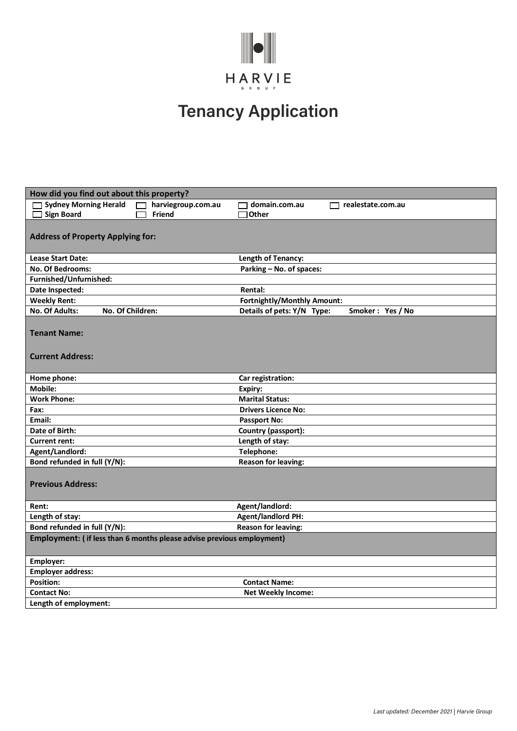

## **Tenancy Application**

| How did you find out about this property?                             |                                                |  |
|-----------------------------------------------------------------------|------------------------------------------------|--|
| <b>Sydney Morning Herald</b><br>harviegroup.com.au                    | domain.com.au<br>realestate.com.au<br>$\Box$   |  |
| <b>Sign Board</b><br>Friend                                           | Other                                          |  |
|                                                                       |                                                |  |
| <b>Address of Property Applying for:</b>                              |                                                |  |
|                                                                       |                                                |  |
| <b>Lease Start Date:</b>                                              | Length of Tenancy:                             |  |
| <b>No. Of Bedrooms:</b>                                               | Parking - No. of spaces:                       |  |
| Furnished/Unfurnished:                                                |                                                |  |
| Date Inspected:                                                       | <b>Rental:</b>                                 |  |
| <b>Weekly Rent:</b>                                                   | Fortnightly/Monthly Amount:                    |  |
| No. Of Children:<br><b>No. Of Adults:</b>                             | Details of pets: Y/N Type:<br>Smoker: Yes / No |  |
|                                                                       |                                                |  |
| <b>Tenant Name:</b>                                                   |                                                |  |
|                                                                       |                                                |  |
| <b>Current Address:</b>                                               |                                                |  |
|                                                                       |                                                |  |
| Home phone:                                                           | Car registration:                              |  |
| Mobile:                                                               | Expiry:                                        |  |
| <b>Work Phone:</b>                                                    | <b>Marital Status:</b>                         |  |
| Fax:                                                                  | <b>Drivers Licence No:</b>                     |  |
| Email:                                                                | <b>Passport No:</b>                            |  |
| Date of Birth:                                                        | Country (passport):                            |  |
| <b>Current rent:</b>                                                  | Length of stay:                                |  |
| Agent/Landlord:                                                       | Telephone:                                     |  |
| Bond refunded in full (Y/N):                                          | <b>Reason for leaving:</b>                     |  |
|                                                                       |                                                |  |
| <b>Previous Address:</b>                                              |                                                |  |
|                                                                       |                                                |  |
| Rent:                                                                 | Agent/landlord:                                |  |
| Length of stay:                                                       | <b>Agent/landlord PH:</b>                      |  |
| Bond refunded in full (Y/N):                                          | <b>Reason for leaving:</b>                     |  |
| Employment: (if less than 6 months please advise previous employment) |                                                |  |
|                                                                       |                                                |  |
| Employer:                                                             |                                                |  |
| <b>Employer address:</b>                                              |                                                |  |
| <b>Position:</b>                                                      | <b>Contact Name:</b>                           |  |
| <b>Contact No:</b>                                                    | <b>Net Weekly Income:</b>                      |  |
| Length of employment:                                                 |                                                |  |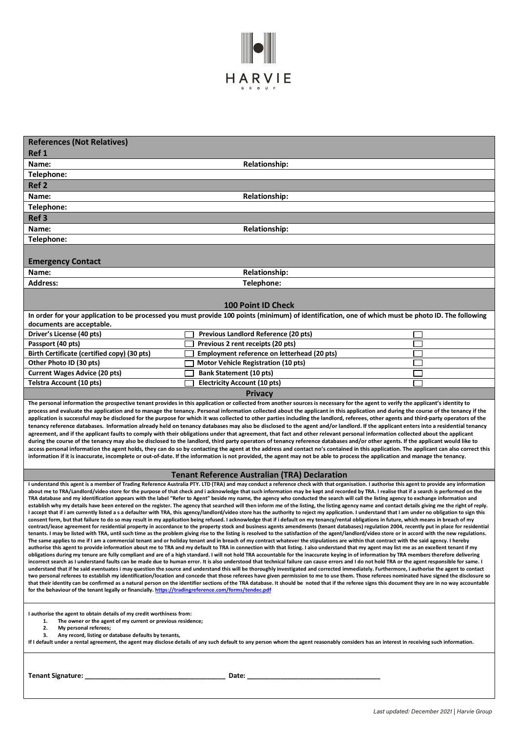

| <b>References (Not Relatives)</b><br>Ref 1                                                                                                                                                                                                                                                                                                                                                                                                                                                                                                                                                                                                                                                                                                                                                                                                                                                                                                                                                                                                                                                                                                                                                                                                                                                                                                                                                                                                                                                                                                                                                                                                                                                                                                                                                                                                                                                                                                                                                                                                                                                                                                                                                                                                                                                                                                                                                                                                                                                                                                                                                                                                                                                                                                                                                                                                                                                                                                                                                                                                                                                                                    |                                                                                                                                                     |  |  |
|-------------------------------------------------------------------------------------------------------------------------------------------------------------------------------------------------------------------------------------------------------------------------------------------------------------------------------------------------------------------------------------------------------------------------------------------------------------------------------------------------------------------------------------------------------------------------------------------------------------------------------------------------------------------------------------------------------------------------------------------------------------------------------------------------------------------------------------------------------------------------------------------------------------------------------------------------------------------------------------------------------------------------------------------------------------------------------------------------------------------------------------------------------------------------------------------------------------------------------------------------------------------------------------------------------------------------------------------------------------------------------------------------------------------------------------------------------------------------------------------------------------------------------------------------------------------------------------------------------------------------------------------------------------------------------------------------------------------------------------------------------------------------------------------------------------------------------------------------------------------------------------------------------------------------------------------------------------------------------------------------------------------------------------------------------------------------------------------------------------------------------------------------------------------------------------------------------------------------------------------------------------------------------------------------------------------------------------------------------------------------------------------------------------------------------------------------------------------------------------------------------------------------------------------------------------------------------------------------------------------------------------------------------------------------------------------------------------------------------------------------------------------------------------------------------------------------------------------------------------------------------------------------------------------------------------------------------------------------------------------------------------------------------------------------------------------------------------------------------------------------------|-----------------------------------------------------------------------------------------------------------------------------------------------------|--|--|
|                                                                                                                                                                                                                                                                                                                                                                                                                                                                                                                                                                                                                                                                                                                                                                                                                                                                                                                                                                                                                                                                                                                                                                                                                                                                                                                                                                                                                                                                                                                                                                                                                                                                                                                                                                                                                                                                                                                                                                                                                                                                                                                                                                                                                                                                                                                                                                                                                                                                                                                                                                                                                                                                                                                                                                                                                                                                                                                                                                                                                                                                                                                               |                                                                                                                                                     |  |  |
| Name:                                                                                                                                                                                                                                                                                                                                                                                                                                                                                                                                                                                                                                                                                                                                                                                                                                                                                                                                                                                                                                                                                                                                                                                                                                                                                                                                                                                                                                                                                                                                                                                                                                                                                                                                                                                                                                                                                                                                                                                                                                                                                                                                                                                                                                                                                                                                                                                                                                                                                                                                                                                                                                                                                                                                                                                                                                                                                                                                                                                                                                                                                                                         | <b>Relationship:</b>                                                                                                                                |  |  |
| Telephone:                                                                                                                                                                                                                                                                                                                                                                                                                                                                                                                                                                                                                                                                                                                                                                                                                                                                                                                                                                                                                                                                                                                                                                                                                                                                                                                                                                                                                                                                                                                                                                                                                                                                                                                                                                                                                                                                                                                                                                                                                                                                                                                                                                                                                                                                                                                                                                                                                                                                                                                                                                                                                                                                                                                                                                                                                                                                                                                                                                                                                                                                                                                    |                                                                                                                                                     |  |  |
| Ref <sub>2</sub>                                                                                                                                                                                                                                                                                                                                                                                                                                                                                                                                                                                                                                                                                                                                                                                                                                                                                                                                                                                                                                                                                                                                                                                                                                                                                                                                                                                                                                                                                                                                                                                                                                                                                                                                                                                                                                                                                                                                                                                                                                                                                                                                                                                                                                                                                                                                                                                                                                                                                                                                                                                                                                                                                                                                                                                                                                                                                                                                                                                                                                                                                                              |                                                                                                                                                     |  |  |
| Name:                                                                                                                                                                                                                                                                                                                                                                                                                                                                                                                                                                                                                                                                                                                                                                                                                                                                                                                                                                                                                                                                                                                                                                                                                                                                                                                                                                                                                                                                                                                                                                                                                                                                                                                                                                                                                                                                                                                                                                                                                                                                                                                                                                                                                                                                                                                                                                                                                                                                                                                                                                                                                                                                                                                                                                                                                                                                                                                                                                                                                                                                                                                         | <b>Relationship:</b>                                                                                                                                |  |  |
| Telephone:                                                                                                                                                                                                                                                                                                                                                                                                                                                                                                                                                                                                                                                                                                                                                                                                                                                                                                                                                                                                                                                                                                                                                                                                                                                                                                                                                                                                                                                                                                                                                                                                                                                                                                                                                                                                                                                                                                                                                                                                                                                                                                                                                                                                                                                                                                                                                                                                                                                                                                                                                                                                                                                                                                                                                                                                                                                                                                                                                                                                                                                                                                                    |                                                                                                                                                     |  |  |
| Ref <sub>3</sub>                                                                                                                                                                                                                                                                                                                                                                                                                                                                                                                                                                                                                                                                                                                                                                                                                                                                                                                                                                                                                                                                                                                                                                                                                                                                                                                                                                                                                                                                                                                                                                                                                                                                                                                                                                                                                                                                                                                                                                                                                                                                                                                                                                                                                                                                                                                                                                                                                                                                                                                                                                                                                                                                                                                                                                                                                                                                                                                                                                                                                                                                                                              |                                                                                                                                                     |  |  |
| Name:                                                                                                                                                                                                                                                                                                                                                                                                                                                                                                                                                                                                                                                                                                                                                                                                                                                                                                                                                                                                                                                                                                                                                                                                                                                                                                                                                                                                                                                                                                                                                                                                                                                                                                                                                                                                                                                                                                                                                                                                                                                                                                                                                                                                                                                                                                                                                                                                                                                                                                                                                                                                                                                                                                                                                                                                                                                                                                                                                                                                                                                                                                                         | <b>Relationship:</b>                                                                                                                                |  |  |
| Telephone:                                                                                                                                                                                                                                                                                                                                                                                                                                                                                                                                                                                                                                                                                                                                                                                                                                                                                                                                                                                                                                                                                                                                                                                                                                                                                                                                                                                                                                                                                                                                                                                                                                                                                                                                                                                                                                                                                                                                                                                                                                                                                                                                                                                                                                                                                                                                                                                                                                                                                                                                                                                                                                                                                                                                                                                                                                                                                                                                                                                                                                                                                                                    |                                                                                                                                                     |  |  |
| <b>Emergency Contact</b>                                                                                                                                                                                                                                                                                                                                                                                                                                                                                                                                                                                                                                                                                                                                                                                                                                                                                                                                                                                                                                                                                                                                                                                                                                                                                                                                                                                                                                                                                                                                                                                                                                                                                                                                                                                                                                                                                                                                                                                                                                                                                                                                                                                                                                                                                                                                                                                                                                                                                                                                                                                                                                                                                                                                                                                                                                                                                                                                                                                                                                                                                                      |                                                                                                                                                     |  |  |
| Name:                                                                                                                                                                                                                                                                                                                                                                                                                                                                                                                                                                                                                                                                                                                                                                                                                                                                                                                                                                                                                                                                                                                                                                                                                                                                                                                                                                                                                                                                                                                                                                                                                                                                                                                                                                                                                                                                                                                                                                                                                                                                                                                                                                                                                                                                                                                                                                                                                                                                                                                                                                                                                                                                                                                                                                                                                                                                                                                                                                                                                                                                                                                         | <b>Relationship:</b>                                                                                                                                |  |  |
| <b>Address:</b>                                                                                                                                                                                                                                                                                                                                                                                                                                                                                                                                                                                                                                                                                                                                                                                                                                                                                                                                                                                                                                                                                                                                                                                                                                                                                                                                                                                                                                                                                                                                                                                                                                                                                                                                                                                                                                                                                                                                                                                                                                                                                                                                                                                                                                                                                                                                                                                                                                                                                                                                                                                                                                                                                                                                                                                                                                                                                                                                                                                                                                                                                                               | Telephone:                                                                                                                                          |  |  |
|                                                                                                                                                                                                                                                                                                                                                                                                                                                                                                                                                                                                                                                                                                                                                                                                                                                                                                                                                                                                                                                                                                                                                                                                                                                                                                                                                                                                                                                                                                                                                                                                                                                                                                                                                                                                                                                                                                                                                                                                                                                                                                                                                                                                                                                                                                                                                                                                                                                                                                                                                                                                                                                                                                                                                                                                                                                                                                                                                                                                                                                                                                                               |                                                                                                                                                     |  |  |
|                                                                                                                                                                                                                                                                                                                                                                                                                                                                                                                                                                                                                                                                                                                                                                                                                                                                                                                                                                                                                                                                                                                                                                                                                                                                                                                                                                                                                                                                                                                                                                                                                                                                                                                                                                                                                                                                                                                                                                                                                                                                                                                                                                                                                                                                                                                                                                                                                                                                                                                                                                                                                                                                                                                                                                                                                                                                                                                                                                                                                                                                                                                               | <b>100 Point ID Check</b>                                                                                                                           |  |  |
|                                                                                                                                                                                                                                                                                                                                                                                                                                                                                                                                                                                                                                                                                                                                                                                                                                                                                                                                                                                                                                                                                                                                                                                                                                                                                                                                                                                                                                                                                                                                                                                                                                                                                                                                                                                                                                                                                                                                                                                                                                                                                                                                                                                                                                                                                                                                                                                                                                                                                                                                                                                                                                                                                                                                                                                                                                                                                                                                                                                                                                                                                                                               | In order for your application to be processed you must provide 100 points (minimum) of identification, one of which must be photo ID. The following |  |  |
| documents are acceptable.                                                                                                                                                                                                                                                                                                                                                                                                                                                                                                                                                                                                                                                                                                                                                                                                                                                                                                                                                                                                                                                                                                                                                                                                                                                                                                                                                                                                                                                                                                                                                                                                                                                                                                                                                                                                                                                                                                                                                                                                                                                                                                                                                                                                                                                                                                                                                                                                                                                                                                                                                                                                                                                                                                                                                                                                                                                                                                                                                                                                                                                                                                     |                                                                                                                                                     |  |  |
| Driver's License (40 pts)                                                                                                                                                                                                                                                                                                                                                                                                                                                                                                                                                                                                                                                                                                                                                                                                                                                                                                                                                                                                                                                                                                                                                                                                                                                                                                                                                                                                                                                                                                                                                                                                                                                                                                                                                                                                                                                                                                                                                                                                                                                                                                                                                                                                                                                                                                                                                                                                                                                                                                                                                                                                                                                                                                                                                                                                                                                                                                                                                                                                                                                                                                     | Previous Landlord Reference (20 pts)                                                                                                                |  |  |
| Passport (40 pts)                                                                                                                                                                                                                                                                                                                                                                                                                                                                                                                                                                                                                                                                                                                                                                                                                                                                                                                                                                                                                                                                                                                                                                                                                                                                                                                                                                                                                                                                                                                                                                                                                                                                                                                                                                                                                                                                                                                                                                                                                                                                                                                                                                                                                                                                                                                                                                                                                                                                                                                                                                                                                                                                                                                                                                                                                                                                                                                                                                                                                                                                                                             | Previous 2 rent receipts (20 pts)                                                                                                                   |  |  |
| Birth Certificate (certified copy) (30 pts)                                                                                                                                                                                                                                                                                                                                                                                                                                                                                                                                                                                                                                                                                                                                                                                                                                                                                                                                                                                                                                                                                                                                                                                                                                                                                                                                                                                                                                                                                                                                                                                                                                                                                                                                                                                                                                                                                                                                                                                                                                                                                                                                                                                                                                                                                                                                                                                                                                                                                                                                                                                                                                                                                                                                                                                                                                                                                                                                                                                                                                                                                   | Employment reference on letterhead (20 pts)                                                                                                         |  |  |
| Other Photo ID (30 pts)                                                                                                                                                                                                                                                                                                                                                                                                                                                                                                                                                                                                                                                                                                                                                                                                                                                                                                                                                                                                                                                                                                                                                                                                                                                                                                                                                                                                                                                                                                                                                                                                                                                                                                                                                                                                                                                                                                                                                                                                                                                                                                                                                                                                                                                                                                                                                                                                                                                                                                                                                                                                                                                                                                                                                                                                                                                                                                                                                                                                                                                                                                       | <b>Motor Vehicle Registration (10 pts)</b>                                                                                                          |  |  |
| <b>Current Wages Advice (20 pts)</b>                                                                                                                                                                                                                                                                                                                                                                                                                                                                                                                                                                                                                                                                                                                                                                                                                                                                                                                                                                                                                                                                                                                                                                                                                                                                                                                                                                                                                                                                                                                                                                                                                                                                                                                                                                                                                                                                                                                                                                                                                                                                                                                                                                                                                                                                                                                                                                                                                                                                                                                                                                                                                                                                                                                                                                                                                                                                                                                                                                                                                                                                                          | <b>Bank Statement (10 pts)</b>                                                                                                                      |  |  |
| <b>Telstra Account (10 pts)</b>                                                                                                                                                                                                                                                                                                                                                                                                                                                                                                                                                                                                                                                                                                                                                                                                                                                                                                                                                                                                                                                                                                                                                                                                                                                                                                                                                                                                                                                                                                                                                                                                                                                                                                                                                                                                                                                                                                                                                                                                                                                                                                                                                                                                                                                                                                                                                                                                                                                                                                                                                                                                                                                                                                                                                                                                                                                                                                                                                                                                                                                                                               | <b>Electricity Account (10 pts)</b>                                                                                                                 |  |  |
|                                                                                                                                                                                                                                                                                                                                                                                                                                                                                                                                                                                                                                                                                                                                                                                                                                                                                                                                                                                                                                                                                                                                                                                                                                                                                                                                                                                                                                                                                                                                                                                                                                                                                                                                                                                                                                                                                                                                                                                                                                                                                                                                                                                                                                                                                                                                                                                                                                                                                                                                                                                                                                                                                                                                                                                                                                                                                                                                                                                                                                                                                                                               | <b>Privacy</b>                                                                                                                                      |  |  |
| process and evaluate the application and to manage the tenancy. Personal information collected about the applicant in this application and during the course of the tenancy if the<br>application is successful may be disclosed for the purpose for which it was collected to other parties including the landlord, referees, other agents and third-party operators of the<br>tenancy reference databases. Information already held on tenancy databases may also be disclosed to the agent and/or landlord. If the applicant enters into a residential tenancy<br>agreement, and if the applicant faults to comply with their obligations under that agreement, that fact and other relevant personal information collected about the applicant<br>during the course of the tenancy may also be disclosed to the landlord, third party operators of tenancy reference databases and/or other agents. If the applicant would like to<br>access personal information the agent holds, they can do so by contacting the agent at the address and contact no's contained in this application. The applicant can also correct this<br>information if it is inaccurate, incomplete or out-of-date. If the information is not provided, the agent may not be able to process the application and manage the tenancy.                                                                                                                                                                                                                                                                                                                                                                                                                                                                                                                                                                                                                                                                                                                                                                                                                                                                                                                                                                                                                                                                                                                                                                                                                                                                                                                                                                                                                                                                                                                                                                                                                                                                                                                                                                                                              |                                                                                                                                                     |  |  |
|                                                                                                                                                                                                                                                                                                                                                                                                                                                                                                                                                                                                                                                                                                                                                                                                                                                                                                                                                                                                                                                                                                                                                                                                                                                                                                                                                                                                                                                                                                                                                                                                                                                                                                                                                                                                                                                                                                                                                                                                                                                                                                                                                                                                                                                                                                                                                                                                                                                                                                                                                                                                                                                                                                                                                                                                                                                                                                                                                                                                                                                                                                                               | <b>Tenant Reference Australian (TRA) Declaration</b>                                                                                                |  |  |
| I understand this agent is a member of Trading Reference Australia PTY. LTD (TRA) and may conduct a reference check with that organisation. I authorise this agent to provide any information<br>about me to TRA/Landlord/video store for the purpose of that check and i acknowledge that such information may be kept and recorded by TRA. I realise that if a search is performed on the<br>TRA database and my identification appears with the label "Refer to Agent" beside my name, the agency who conducted the search will call the listing agency to exchange information and<br>establish why my details have been entered on the register. The agency that searched will then inform me of the listing, the listing agency name and contact details giving me the right of reply.<br>I accept that if i am currently listed a s a defaulter with TRA, this agency/landlord/video store has the authority to reject my application. I understand that I am under no obligation to sign this<br>consent form, but that failure to do so may result in my application being refused. I acknowledge that if i default on my tenancy/rental obligations in future, which means in breach of my<br>contract/lease agreement for residential property in accordance to the property stock and business agents amendments (tenant databases) regulation 2004, recently put in place for residential<br>tenants. I may be listed with TRA, until such time as the problem giving rise to the listing is resolved to the satisfaction of the agent/landlord/video store or in accord with the new regulations.<br>The same applies to me if I am a commercial tenant and or holiday tenant and in breach of my contract whatever the stipulations are within that contract with the said agency. I hereby<br>authorise this agent to provide information about me to TRA and my default to TRA in connection with that listing. I also understand that my agent may list me as an excellent tenant if my<br>obligations during my tenure are fully compliant and are of a high standard. I will not hold TRA accountable for the inaccurate keying in of information by TRA members therefore delivering<br>incorrect search as I understand faults can be made due to human error. It is also understood that technical failure can cause errors and I do not hold TRA or the agent responsible for same. I<br>understand that if he said eventuates i may question the source and understand this will be thoroughly investigated and corrected immediately. Furthermore, I authorise the agent to contact<br>two personal referees to establish my identification/location and concede that those referees have given permission to me to use them. Those referees nominated have signed the disclosure so<br>that their identity can be confirmed as a natural person on the identifier sections of the TRA database. It should be noted that if the referee signs this document they are in no way accountable<br>for the behaviour of the tenant legally or financially. https://tradingreference.com/forms/tendec.pdf |                                                                                                                                                     |  |  |
| I authorise the agent to obtain details of my credit worthiness from:<br>The owner or the agent of my current or previous residence;<br>1.<br>2.<br>My personal referees;<br>Any record, listing or database defaults by tenants,<br>3.<br>If I default under a rental agreement, the agent may disclose details of any such default to any person whom the agent reasonably considers has an interest in receiving such information.                                                                                                                                                                                                                                                                                                                                                                                                                                                                                                                                                                                                                                                                                                                                                                                                                                                                                                                                                                                                                                                                                                                                                                                                                                                                                                                                                                                                                                                                                                                                                                                                                                                                                                                                                                                                                                                                                                                                                                                                                                                                                                                                                                                                                                                                                                                                                                                                                                                                                                                                                                                                                                                                                         |                                                                                                                                                     |  |  |
| Tenant Signature: ____                                                                                                                                                                                                                                                                                                                                                                                                                                                                                                                                                                                                                                                                                                                                                                                                                                                                                                                                                                                                                                                                                                                                                                                                                                                                                                                                                                                                                                                                                                                                                                                                                                                                                                                                                                                                                                                                                                                                                                                                                                                                                                                                                                                                                                                                                                                                                                                                                                                                                                                                                                                                                                                                                                                                                                                                                                                                                                                                                                                                                                                                                                        | Date:                                                                                                                                               |  |  |